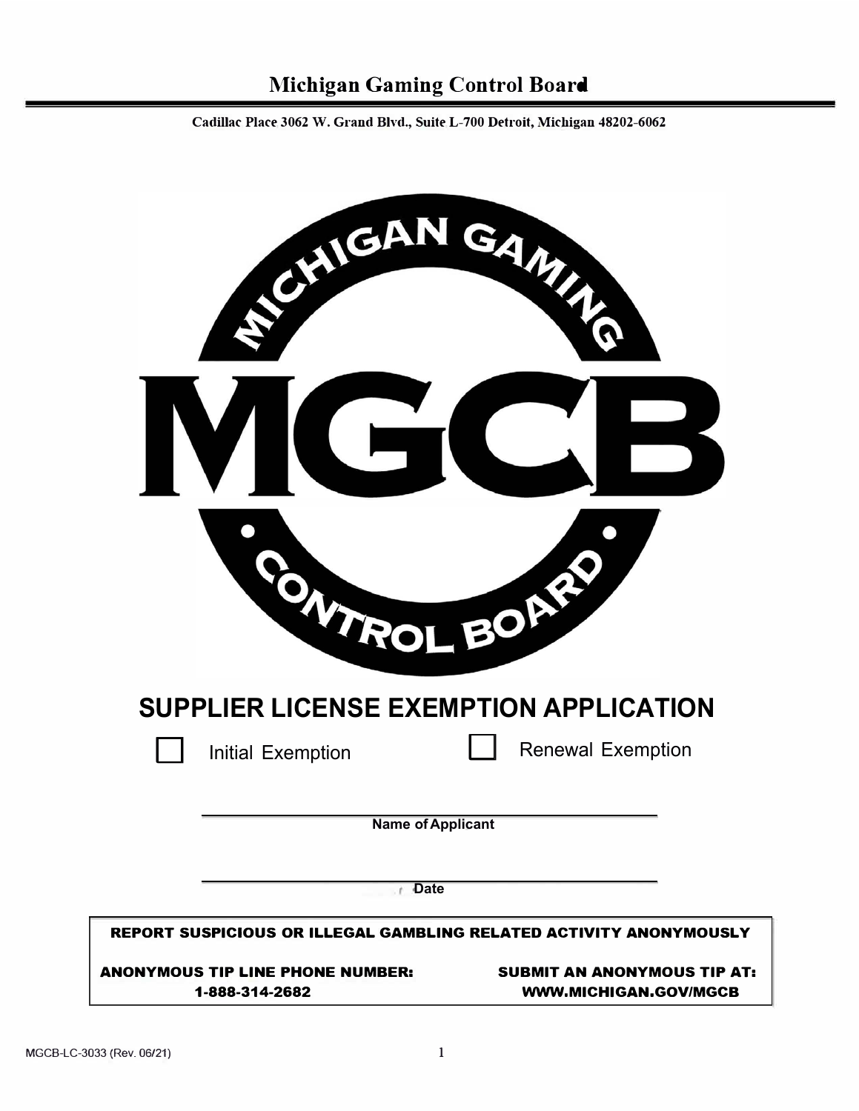**Cadillac Place 3062 W. Grand Blvd., Suite L-700 Detroit, Michigan 48202-6062** 

| CHIEA                                                              | GAMAN                                                              |
|--------------------------------------------------------------------|--------------------------------------------------------------------|
|                                                                    |                                                                    |
|                                                                    |                                                                    |
| WIROL BOR                                                          |                                                                    |
| SUPPLIER LICENSE EXEMPTION APPLICATION                             |                                                                    |
| <b>Initial Exemption</b>                                           | <b>Renewal Exemption</b>                                           |
| <b>Name of Applicant</b><br><b>Date</b><br>- F                     |                                                                    |
| REPORT SUSPICIOUS OR ILLEGAL GAMBLING RELATED ACTIVITY ANONYMOUSLY |                                                                    |
| <b>ANONYMOUS TIP LINE PHONE NUMBER:</b><br>1-888-314-2682          | <b>SUBMIT AN ANONYMOUS TIP AT:</b><br><b>WWW.MICHIGAN.GOV/MGCB</b> |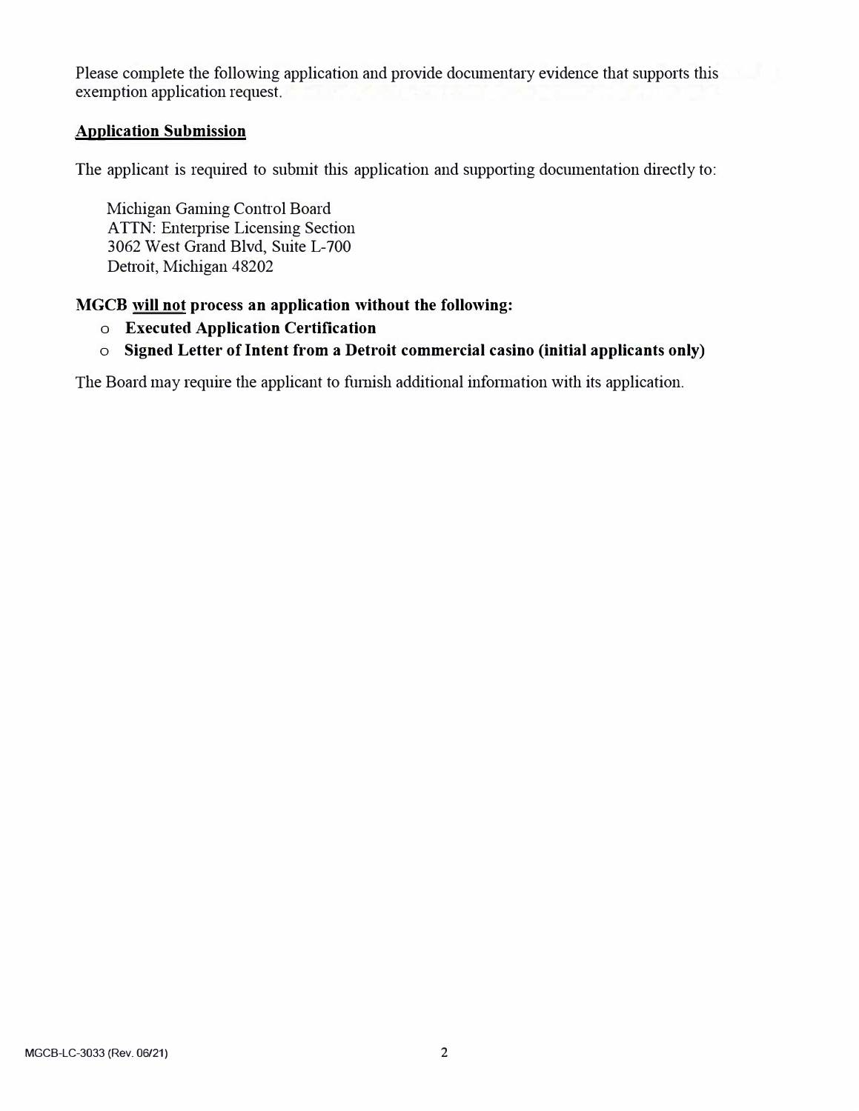Please complete the following application and provide documentary evidence that supports this exemption application request.

### **Application Submission**

The applicant is required to submit this application and supporting documentation directly to:

Michigan Gaming Control Board ATTN: Enterprise Licensing Section 3062 West Grand Blvd, Suite L-700 Detroit, Michigan 48202

### **MGCB will not process an application without the following:**

- **o Executed Application Certification**
- **o Signed Letter of Intent from a Detroit commercial casino (initial applicants only)**

The Board may require the applicant to furnish additional information with its application.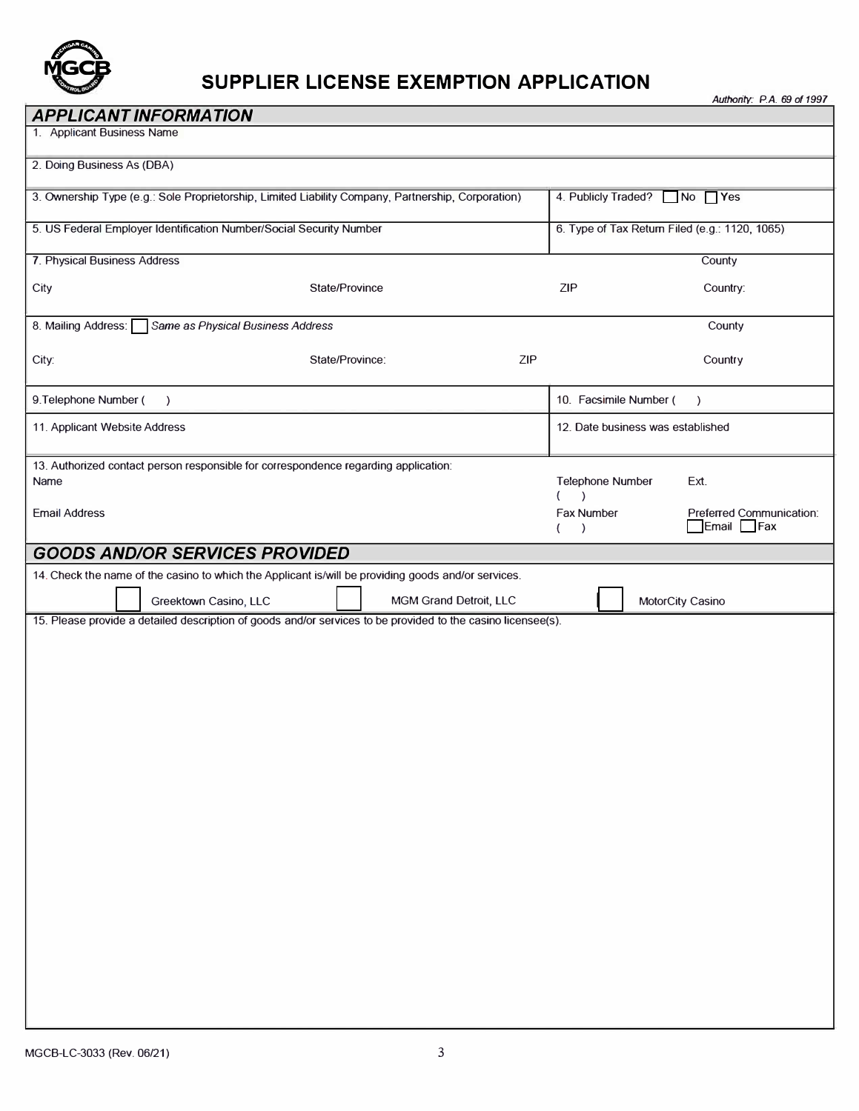

# **SUPPLIER LICENSE EXEMPTION APPLICATION**

*Authority: P.A. 69 of 1997* 

| <b>APPLICANT INFORMATION</b>                                                                                                                                               |                                                                                 |  |
|----------------------------------------------------------------------------------------------------------------------------------------------------------------------------|---------------------------------------------------------------------------------|--|
| 1. Applicant Business Name                                                                                                                                                 |                                                                                 |  |
| 2. Doing Business As (DBA)                                                                                                                                                 |                                                                                 |  |
| 3. Ownership Type (e.g.: Sole Proprietorship, Limited Liability Company, Partnership, Corporation)                                                                         | 4. Publicly Traded? No Yes                                                      |  |
| 5. US Federal Employer Identification Number/Social Security Number                                                                                                        | 6. Type of Tax Return Filed (e.g.: 1120, 1065)                                  |  |
| 7. Physical Business Address                                                                                                                                               | County                                                                          |  |
| City<br>State/Province                                                                                                                                                     | <b>ZIP</b><br>Country:                                                          |  |
| 8. Mailing Address:<br>Same as Physical Business Address                                                                                                                   | County                                                                          |  |
| ZIP<br>State/Province:<br>City:                                                                                                                                            | Country                                                                         |  |
| 9. Telephone Number (<br>$\rightarrow$                                                                                                                                     | 10. Facsimile Number (<br>$\lambda$                                             |  |
| 11. Applicant Website Address                                                                                                                                              | 12. Date business was established                                               |  |
| 13. Authorized contact person responsible for correspondence regarding application:<br>Name<br><b>Email Address</b>                                                        | Telephone Number<br>Ext.<br>$\lambda$<br>Fax Number<br>Preferred Communication: |  |
|                                                                                                                                                                            | Email<br>$\Box$ Fax<br>$\lambda$                                                |  |
| <b>GOODS AND/OR SERVICES PROVIDED</b>                                                                                                                                      |                                                                                 |  |
| 14. Check the name of the casino to which the Applicant is/will be providing goods and/or services.<br>Greektown Casino, LLC<br>MGM Grand Detroit, LLC<br>MotorCity Casino |                                                                                 |  |
| 15. Please provide a detailed description of goods and/or services to be provided to the casino licensee(s).                                                               |                                                                                 |  |
|                                                                                                                                                                            |                                                                                 |  |
|                                                                                                                                                                            |                                                                                 |  |
|                                                                                                                                                                            |                                                                                 |  |
|                                                                                                                                                                            |                                                                                 |  |
|                                                                                                                                                                            |                                                                                 |  |
|                                                                                                                                                                            |                                                                                 |  |
|                                                                                                                                                                            |                                                                                 |  |
|                                                                                                                                                                            |                                                                                 |  |
|                                                                                                                                                                            |                                                                                 |  |
|                                                                                                                                                                            |                                                                                 |  |
|                                                                                                                                                                            |                                                                                 |  |
|                                                                                                                                                                            |                                                                                 |  |
|                                                                                                                                                                            |                                                                                 |  |
|                                                                                                                                                                            |                                                                                 |  |
|                                                                                                                                                                            |                                                                                 |  |
|                                                                                                                                                                            |                                                                                 |  |
|                                                                                                                                                                            |                                                                                 |  |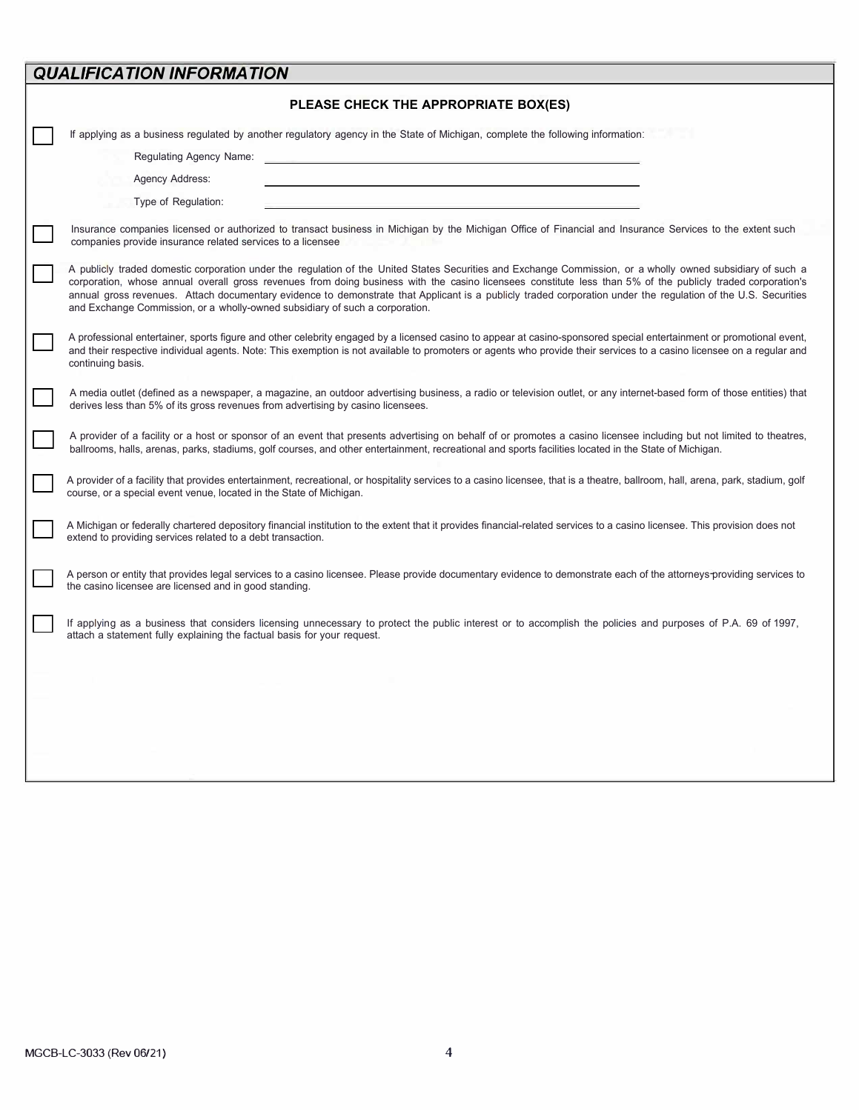## *QUALIFICATION INFORMATION*

| PLEASE CHECK THE APPROPRIATE BOX(ES)                                                                                                                                                                                                                                                                                                                                                                                                                                                                                                                                        |
|-----------------------------------------------------------------------------------------------------------------------------------------------------------------------------------------------------------------------------------------------------------------------------------------------------------------------------------------------------------------------------------------------------------------------------------------------------------------------------------------------------------------------------------------------------------------------------|
| If applying as a business regulated by another regulatory agency in the State of Michigan, complete the following information:<br>Regulating Agency Name:<br><b>Agency Address:</b><br>Type of Regulation:                                                                                                                                                                                                                                                                                                                                                                  |
| Insurance companies licensed or authorized to transact business in Michigan by the Michigan Office of Financial and Insurance Services to the extent such<br>companies provide insurance related services to a licensee                                                                                                                                                                                                                                                                                                                                                     |
| A publicly traded domestic corporation under the regulation of the United States Securities and Exchange Commission, or a wholly owned subsidiary of such a<br>corporation, whose annual overall gross revenues from doing business with the casino licensees constitute less than 5% of the publicly traded corporation's<br>annual gross revenues. Attach documentary evidence to demonstrate that Applicant is a publicly traded corporation under the regulation of the U.S. Securities<br>and Exchange Commission, or a wholly-owned subsidiary of such a corporation. |
| A professional entertainer, sports figure and other celebrity engaged by a licensed casino to appear at casino-sponsored special entertainment or promotional event,<br>and their respective individual agents. Note: This exemption is not available to promoters or agents who provide their services to a casino licensee on a regular and<br>continuing basis.                                                                                                                                                                                                          |
| A media outlet (defined as a newspaper, a magazine, an outdoor advertising business, a radio or television outlet, or any internet-based form of those entities) that<br>derives less than 5% of its gross revenues from advertising by casino licensees.                                                                                                                                                                                                                                                                                                                   |
| A provider of a facility or a host or sponsor of an event that presents advertising on behalf of or promotes a casino licensee including but not limited to theatres,<br>ballrooms, halls, arenas, parks, stadiums, golf courses, and other entertainment, recreational and sports facilities located in the State of Michigan.                                                                                                                                                                                                                                             |
| A provider of a facility that provides entertainment, recreational, or hospitality services to a casino licensee, that is a theatre, ballroom, hall, arena, park, stadium, golf<br>course, or a special event venue, located in the State of Michigan.                                                                                                                                                                                                                                                                                                                      |
| A Michigan or federally chartered depository financial institution to the extent that it provides financial-related services to a casino licensee. This provision does not<br>extend to providing services related to a debt transaction.                                                                                                                                                                                                                                                                                                                                   |
| A person or entity that provides legal services to a casino licensee. Please provide documentary evidence to demonstrate each of the attorneys providing services to<br>the casino licensee are licensed and in good standing.                                                                                                                                                                                                                                                                                                                                              |
| If applying as a business that considers licensing unnecessary to protect the public interest or to accomplish the policies and purposes of P.A. 69 of 1997,<br>attach a statement fully explaining the factual basis for your request.                                                                                                                                                                                                                                                                                                                                     |
|                                                                                                                                                                                                                                                                                                                                                                                                                                                                                                                                                                             |
|                                                                                                                                                                                                                                                                                                                                                                                                                                                                                                                                                                             |